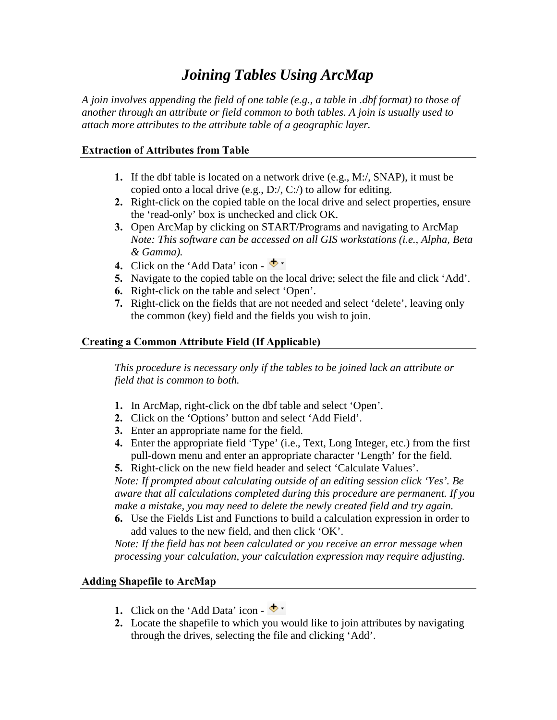# *Joining Tables Using ArcMap*

*A join involves appending the field of one table (e.g., a table in .dbf format) to those of another through an attribute or field common to both tables. A join is usually used to attach more attributes to the attribute table of a geographic layer.*

# **Extraction of Attributes from Table**

- **1.** If the dbf table is located on a network drive (e.g., M:/, SNAP), it must be copied onto a local drive (e.g., D:/, C:/) to allow for editing.
- **2.** Right-click on the copied table on the local drive and select properties, ensure the 'read-only' box is unchecked and click OK.
- **3.** Open ArcMap by clicking on START/Programs and navigating to ArcMap *Note: This software can be accessed on all GIS workstations (i.e., Alpha, Beta & Gamma).*
- **4.** Click on the 'Add Data' icon  $\blacklozenge$
- **5.** Navigate to the copied table on the local drive; select the file and click 'Add'.
- **6.** Right-click on the table and select 'Open'.
- **7.** Right-click on the fields that are not needed and select 'delete', leaving only the common (key) field and the fields you wish to join.

# **Creating a Common Attribute Field (If Applicable)**

*This procedure is necessary only if the tables to be joined lack an attribute or field that is common to both.*

- **1.** In ArcMap, right-click on the dbf table and select 'Open'.
- **2.** Click on the 'Options' button and select 'Add Field'.
- **3.** Enter an appropriate name for the field.
- **4.** Enter the appropriate field 'Type' (i.e., Text, Long Integer, etc.) from the first pull-down menu and enter an appropriate character 'Length' for the field.
- **5.** Right-click on the new field header and select 'Calculate Values'.

*Note: If prompted about calculating outside of an editing session click 'Yes'. Be aware that all calculations completed during this procedure are permanent. If you make a mistake, you may need to delete the newly created field and try again.*

**6.** Use the Fields List and Functions to build a calculation expression in order to add values to the new field, and then click 'OK'.

*Note: If the field has not been calculated or you receive an error message when processing your calculation, your calculation expression may require adjusting.*

## **Adding Shapefile to ArcMap**

- **1.** Click on the 'Add Data' icon  $\blacklozenge$   $\blacktriangleright$
- **2.** Locate the shapefile to which you would like to join attributes by navigating through the drives, selecting the file and clicking 'Add'.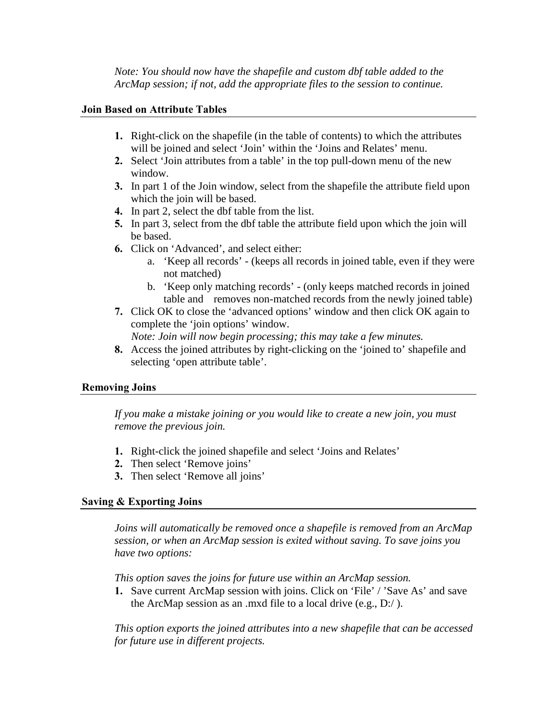*Note: You should now have the shapefile and custom dbf table added to the ArcMap session; if not, add the appropriate files to the session to continue.*

#### **Join Based on Attribute Tables**

- **1.** Right-click on the shapefile (in the table of contents) to which the attributes will be joined and select 'Join' within the 'Joins and Relates' menu.
- **2.** Select 'Join attributes from a table' in the top pull-down menu of the new window.
- **3.** In part 1 of the Join window, select from the shapefile the attribute field upon which the join will be based.
- **4.** In part 2, select the dbf table from the list.
- **5.** In part 3, select from the dbf table the attribute field upon which the join will be based.
- **6.** Click on 'Advanced', and select either:
	- a. 'Keep all records' (keeps all records in joined table, even if they were not matched)
	- b. 'Keep only matching records' (only keeps matched records in joined table and removes non-matched records from the newly joined table)
- **7.** Click OK to close the 'advanced options' window and then click OK again to complete the 'join options' window.

*Note: Join will now begin processing; this may take a few minutes.*

**8.** Access the joined attributes by right-clicking on the 'joined to' shapefile and selecting 'open attribute table'.

#### **Removing Joins**

*If you make a mistake joining or you would like to create a new join, you must remove the previous join.*

- **1.** Right-click the joined shapefile and select 'Joins and Relates'
- **2.** Then select 'Remove joins'
- **3.** Then select 'Remove all joins'

## **Saving & Exporting Joins**

*Joins will automatically be removed once a shapefile is removed from an ArcMap session, or when an ArcMap session is exited without saving. To save joins you have two options:*

*This option saves the joins for future use within an ArcMap session.*

**1.** Save current ArcMap session with joins. Click on 'File' / 'Save As' and save the ArcMap session as an .mxd file to a local drive (e.g., D:/ ).

*This option exports the joined attributes into a new shapefile that can be accessed for future use in different projects.*